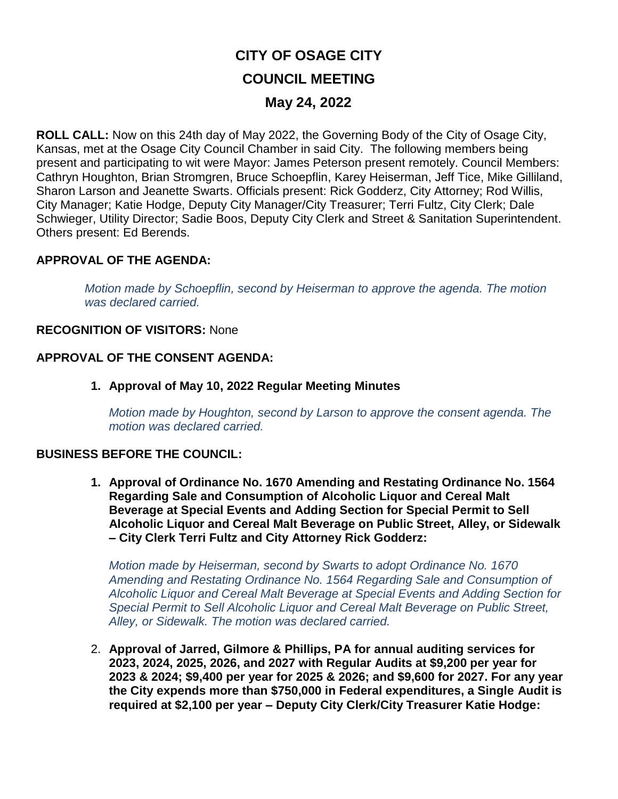# **CITY OF OSAGE CITY COUNCIL MEETING May 24, 2022**

**ROLL CALL:** Now on this 24th day of May 2022, the Governing Body of the City of Osage City, Kansas, met at the Osage City Council Chamber in said City. The following members being present and participating to wit were Mayor: James Peterson present remotely. Council Members: Cathryn Houghton, Brian Stromgren, Bruce Schoepflin, Karey Heiserman, Jeff Tice, Mike Gilliland, Sharon Larson and Jeanette Swarts. Officials present: Rick Godderz, City Attorney; Rod Willis, City Manager; Katie Hodge, Deputy City Manager/City Treasurer; Terri Fultz, City Clerk; Dale Schwieger, Utility Director; Sadie Boos, Deputy City Clerk and Street & Sanitation Superintendent. Others present: Ed Berends.

# **APPROVAL OF THE AGENDA:**

*Motion made by Schoepflin, second by Heiserman to approve the agenda. The motion was declared carried.*

# **RECOGNITION OF VISITORS:** None

# **APPROVAL OF THE CONSENT AGENDA:**

**1. Approval of May 10, 2022 Regular Meeting Minutes**

*Motion made by Houghton, second by Larson to approve the consent agenda. The motion was declared carried.*

# **BUSINESS BEFORE THE COUNCIL:**

**1. Approval of Ordinance No. 1670 Amending and Restating Ordinance No. 1564 Regarding Sale and Consumption of Alcoholic Liquor and Cereal Malt Beverage at Special Events and Adding Section for Special Permit to Sell Alcoholic Liquor and Cereal Malt Beverage on Public Street, Alley, or Sidewalk – City Clerk Terri Fultz and City Attorney Rick Godderz:**

*Motion made by Heiserman, second by Swarts to adopt Ordinance No. 1670 Amending and Restating Ordinance No. 1564 Regarding Sale and Consumption of Alcoholic Liquor and Cereal Malt Beverage at Special Events and Adding Section for Special Permit to Sell Alcoholic Liquor and Cereal Malt Beverage on Public Street, Alley, or Sidewalk. The motion was declared carried.*

2. **Approval of Jarred, Gilmore & Phillips, PA for annual auditing services for 2023, 2024, 2025, 2026, and 2027 with Regular Audits at \$9,200 per year for 2023 & 2024; \$9,400 per year for 2025 & 2026; and \$9,600 for 2027. For any year the City expends more than \$750,000 in Federal expenditures, a Single Audit is required at \$2,100 per year – Deputy City Clerk/City Treasurer Katie Hodge:**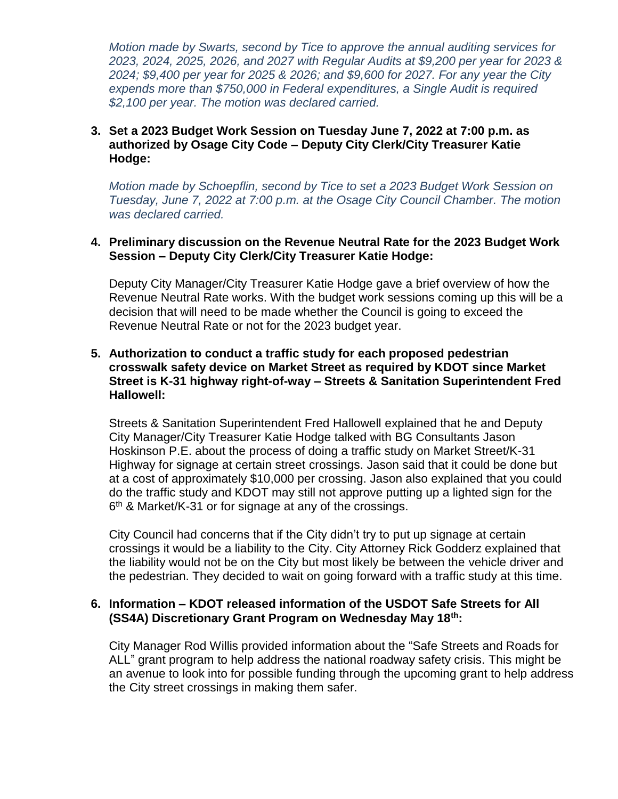*Motion made by Swarts, second by Tice to approve the annual auditing services for 2023, 2024, 2025, 2026, and 2027 with Regular Audits at \$9,200 per year for 2023 & 2024; \$9,400 per year for 2025 & 2026; and \$9,600 for 2027. For any year the City expends more than \$750,000 in Federal expenditures, a Single Audit is required \$2,100 per year. The motion was declared carried.*

# **3. Set a 2023 Budget Work Session on Tuesday June 7, 2022 at 7:00 p.m. as authorized by Osage City Code – Deputy City Clerk/City Treasurer Katie Hodge:**

*Motion made by Schoepflin, second by Tice to set a 2023 Budget Work Session on Tuesday, June 7, 2022 at 7:00 p.m. at the Osage City Council Chamber. The motion was declared carried.*

# **4. Preliminary discussion on the Revenue Neutral Rate for the 2023 Budget Work Session – Deputy City Clerk/City Treasurer Katie Hodge:**

Deputy City Manager/City Treasurer Katie Hodge gave a brief overview of how the Revenue Neutral Rate works. With the budget work sessions coming up this will be a decision that will need to be made whether the Council is going to exceed the Revenue Neutral Rate or not for the 2023 budget year.

#### **5. Authorization to conduct a traffic study for each proposed pedestrian crosswalk safety device on Market Street as required by KDOT since Market Street is K-31 highway right-of-way – Streets & Sanitation Superintendent Fred Hallowell:**

Streets & Sanitation Superintendent Fred Hallowell explained that he and Deputy City Manager/City Treasurer Katie Hodge talked with BG Consultants Jason Hoskinson P.E. about the process of doing a traffic study on Market Street/K-31 Highway for signage at certain street crossings. Jason said that it could be done but at a cost of approximately \$10,000 per crossing. Jason also explained that you could do the traffic study and KDOT may still not approve putting up a lighted sign for the 6<sup>th</sup> & Market/K-31 or for signage at any of the crossings.

City Council had concerns that if the City didn't try to put up signage at certain crossings it would be a liability to the City. City Attorney Rick Godderz explained that the liability would not be on the City but most likely be between the vehicle driver and the pedestrian. They decided to wait on going forward with a traffic study at this time.

# **6. Information – KDOT released information of the USDOT Safe Streets for All (SS4A) Discretionary Grant Program on Wednesday May 18th:**

City Manager Rod Willis provided information about the "Safe Streets and Roads for ALL" grant program to help address the national roadway safety crisis. This might be an avenue to look into for possible funding through the upcoming grant to help address the City street crossings in making them safer.